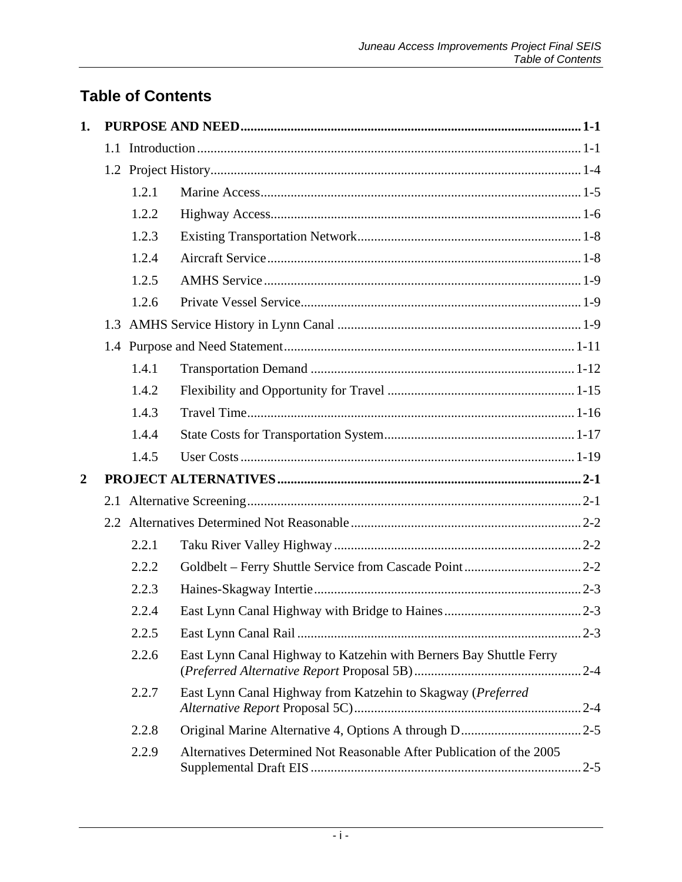## **Table of Contents**

| 1.             |       |                                                                      |  |
|----------------|-------|----------------------------------------------------------------------|--|
|                |       |                                                                      |  |
|                |       |                                                                      |  |
|                | 1.2.1 |                                                                      |  |
|                | 1.2.2 |                                                                      |  |
|                | 1.2.3 |                                                                      |  |
|                | 1.2.4 |                                                                      |  |
|                | 1.2.5 |                                                                      |  |
|                | 1.2.6 |                                                                      |  |
|                |       |                                                                      |  |
|                |       |                                                                      |  |
|                | 1.4.1 |                                                                      |  |
|                | 1.4.2 |                                                                      |  |
|                | 1.4.3 |                                                                      |  |
|                | 1.4.4 |                                                                      |  |
|                | 1.4.5 |                                                                      |  |
| $\overline{2}$ |       |                                                                      |  |
|                |       |                                                                      |  |
|                |       |                                                                      |  |
|                | 2.2.1 |                                                                      |  |
|                | 2.2.2 |                                                                      |  |
|                | 2.2.3 |                                                                      |  |
|                | 2.2.4 |                                                                      |  |
|                | 2.2.5 |                                                                      |  |
|                | 2.2.6 | East Lynn Canal Highway to Katzehin with Berners Bay Shuttle Ferry   |  |
|                | 2.2.7 | East Lynn Canal Highway from Katzehin to Skagway (Preferred          |  |
|                | 2.2.8 |                                                                      |  |
|                | 2.2.9 | Alternatives Determined Not Reasonable After Publication of the 2005 |  |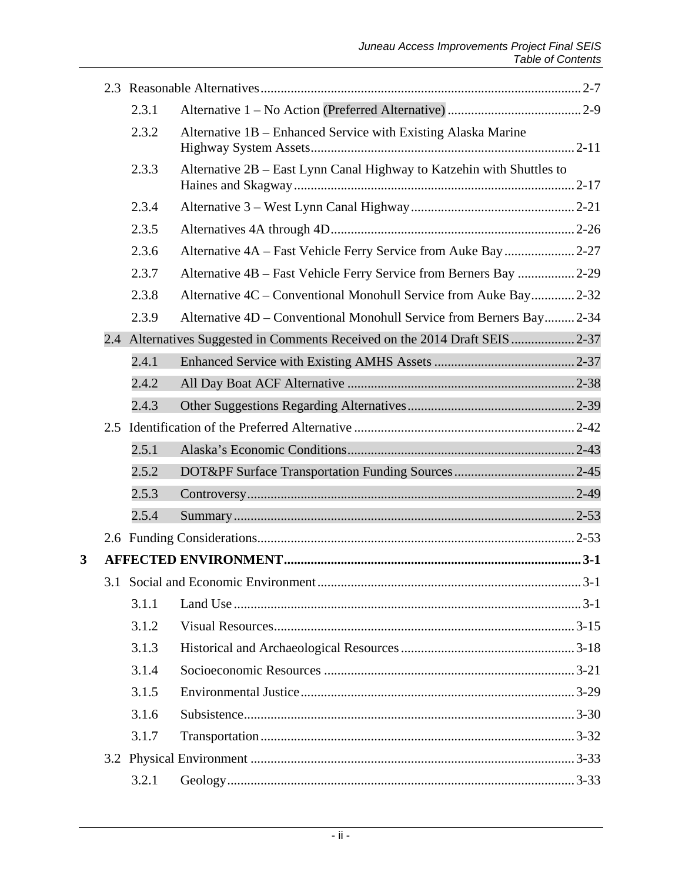|   | 2.3.1 |                                                                             |  |
|---|-------|-----------------------------------------------------------------------------|--|
|   | 2.3.2 | Alternative 1B – Enhanced Service with Existing Alaska Marine               |  |
|   | 2.3.3 | Alternative 2B – East Lynn Canal Highway to Katzehin with Shuttles to       |  |
|   | 2.3.4 |                                                                             |  |
|   | 2.3.5 |                                                                             |  |
|   | 2.3.6 | Alternative 4A - Fast Vehicle Ferry Service from Auke Bay  2-27             |  |
|   | 2.3.7 | Alternative 4B – Fast Vehicle Ferry Service from Berners Bay  2-29          |  |
|   | 2.3.8 | Alternative 4C – Conventional Monohull Service from Auke Bay 2-32           |  |
|   | 2.3.9 | Alternative 4D – Conventional Monohull Service from Berners Bay 2-34        |  |
|   |       | 2.4 Alternatives Suggested in Comments Received on the 2014 Draft SEIS 2-37 |  |
|   | 2.4.1 |                                                                             |  |
|   | 2.4.2 |                                                                             |  |
|   | 2.4.3 |                                                                             |  |
|   |       |                                                                             |  |
|   | 2.5.1 |                                                                             |  |
|   | 2.5.2 |                                                                             |  |
|   | 2.5.3 |                                                                             |  |
|   | 2.5.4 |                                                                             |  |
|   |       |                                                                             |  |
| 3 |       |                                                                             |  |
|   |       |                                                                             |  |
|   | 3.1.1 |                                                                             |  |
|   | 3.1.2 |                                                                             |  |
|   | 3.1.3 |                                                                             |  |
|   | 3.1.4 |                                                                             |  |
|   | 3.1.5 |                                                                             |  |
|   | 3.1.6 |                                                                             |  |
|   | 3.1.7 |                                                                             |  |
|   |       |                                                                             |  |
|   | 3.2.1 |                                                                             |  |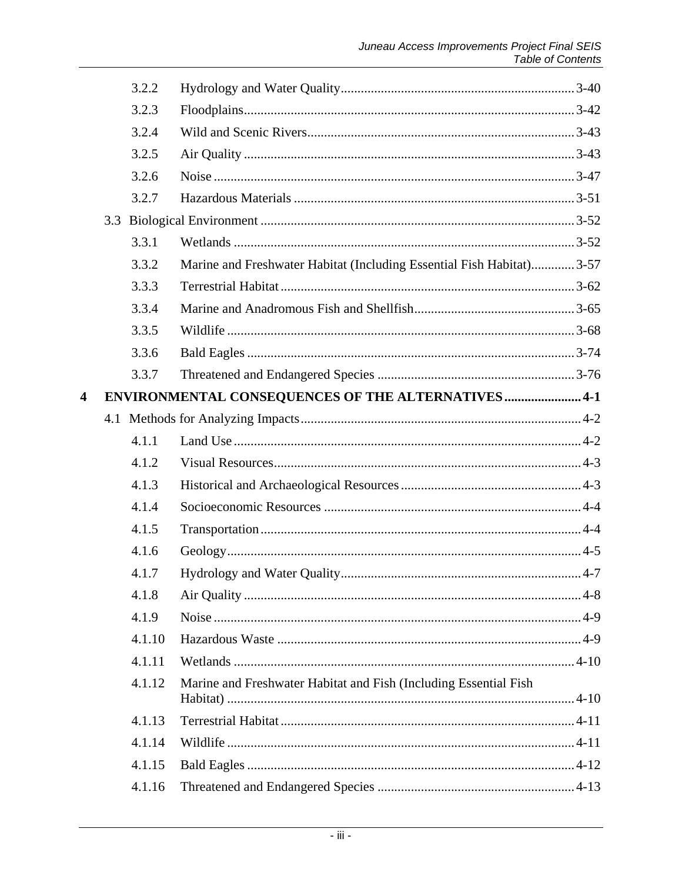|   | 3.2.2  |                                                                       |  |
|---|--------|-----------------------------------------------------------------------|--|
|   | 3.2.3  |                                                                       |  |
|   | 3.2.4  |                                                                       |  |
|   | 3.2.5  |                                                                       |  |
|   | 3.2.6  |                                                                       |  |
|   | 3.2.7  |                                                                       |  |
|   |        |                                                                       |  |
|   | 3.3.1  |                                                                       |  |
|   | 3.3.2  | Marine and Freshwater Habitat (Including Essential Fish Habitat) 3-57 |  |
|   | 3.3.3  |                                                                       |  |
|   | 3.3.4  |                                                                       |  |
|   | 3.3.5  |                                                                       |  |
|   | 3.3.6  |                                                                       |  |
|   | 3.3.7  |                                                                       |  |
| 4 |        | ENVIRONMENTAL CONSEQUENCES OF THE ALTERNATIVES  4-1                   |  |
|   |        |                                                                       |  |
|   | 4.1.1  |                                                                       |  |
|   | 4.1.2  |                                                                       |  |
|   | 4.1.3  |                                                                       |  |
|   | 4.1.4  |                                                                       |  |
|   | 4.1.5  |                                                                       |  |
|   | 4.1.6  |                                                                       |  |
|   | 4.1.7  |                                                                       |  |
|   | 4.1.8  |                                                                       |  |
|   | 4.1.9  |                                                                       |  |
|   | 4.1.10 |                                                                       |  |
|   | 4.1.11 |                                                                       |  |
|   | 4.1.12 | Marine and Freshwater Habitat and Fish (Including Essential Fish      |  |
|   | 4.1.13 |                                                                       |  |
|   | 4.1.14 |                                                                       |  |
|   | 4.1.15 |                                                                       |  |
|   | 4.1.16 |                                                                       |  |
|   |        |                                                                       |  |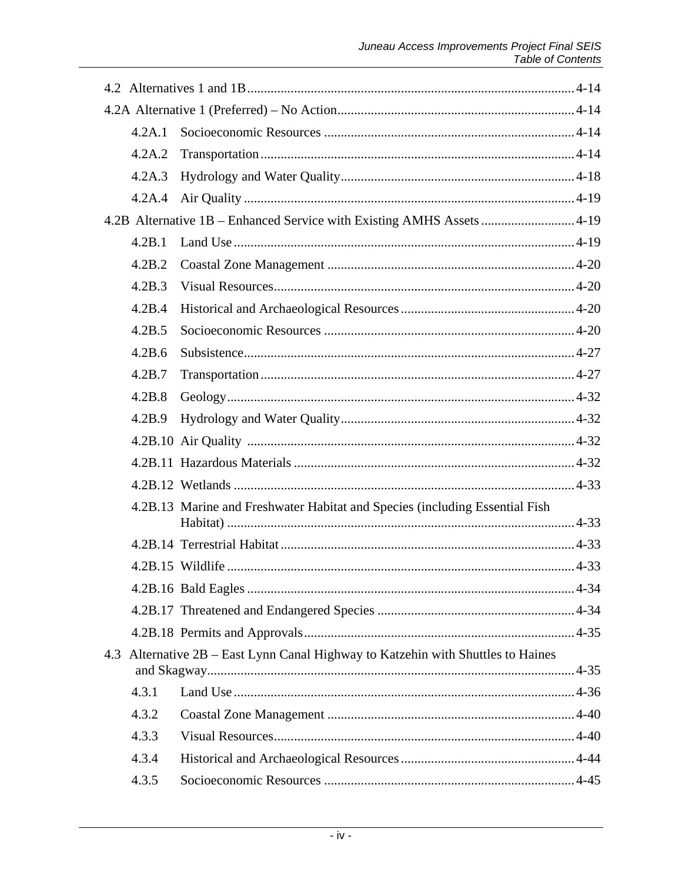|  | 4.2A.1 |                                                                                  |  |  |
|--|--------|----------------------------------------------------------------------------------|--|--|
|  | 4.2A.2 |                                                                                  |  |  |
|  | 4.2A.3 |                                                                                  |  |  |
|  | 4.2A.4 |                                                                                  |  |  |
|  |        | 4.2B Alternative 1B – Enhanced Service with Existing AMHS Assets 4-19            |  |  |
|  | 4.2B.1 |                                                                                  |  |  |
|  | 4.2B.2 |                                                                                  |  |  |
|  | 4.2B.3 |                                                                                  |  |  |
|  | 4.2B.4 |                                                                                  |  |  |
|  | 4.2B.5 |                                                                                  |  |  |
|  | 4.2B.6 |                                                                                  |  |  |
|  | 4.2B.7 |                                                                                  |  |  |
|  | 4.2B.8 |                                                                                  |  |  |
|  | 4.2B.9 |                                                                                  |  |  |
|  |        |                                                                                  |  |  |
|  |        |                                                                                  |  |  |
|  |        |                                                                                  |  |  |
|  |        | 4.2B.13 Marine and Freshwater Habitat and Species (including Essential Fish      |  |  |
|  |        |                                                                                  |  |  |
|  |        |                                                                                  |  |  |
|  |        |                                                                                  |  |  |
|  |        |                                                                                  |  |  |
|  |        |                                                                                  |  |  |
|  |        | 4.3 Alternative 2B – East Lynn Canal Highway to Katzehin with Shuttles to Haines |  |  |
|  |        |                                                                                  |  |  |
|  | 4.3.1  |                                                                                  |  |  |
|  | 4.3.2  |                                                                                  |  |  |
|  | 4.3.3  |                                                                                  |  |  |
|  | 4.3.4  |                                                                                  |  |  |
|  | 4.3.5  |                                                                                  |  |  |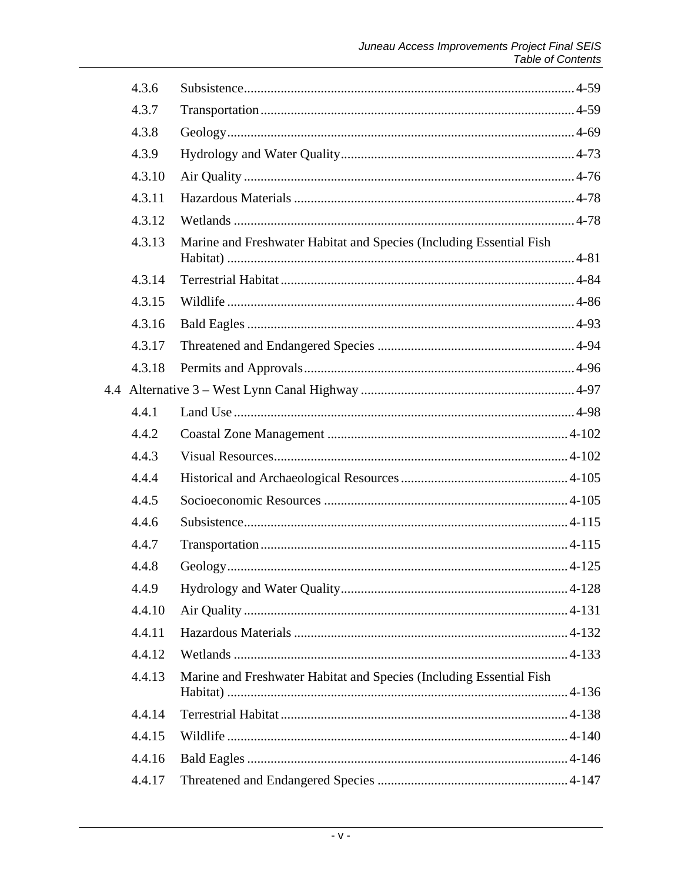| 4.3.6  |                                                                     |  |
|--------|---------------------------------------------------------------------|--|
| 4.3.7  |                                                                     |  |
| 4.3.8  |                                                                     |  |
| 4.3.9  |                                                                     |  |
| 4.3.10 |                                                                     |  |
| 4.3.11 |                                                                     |  |
| 4.3.12 |                                                                     |  |
| 4.3.13 | Marine and Freshwater Habitat and Species (Including Essential Fish |  |
| 4.3.14 |                                                                     |  |
| 4.3.15 |                                                                     |  |
| 4.3.16 |                                                                     |  |
| 4.3.17 |                                                                     |  |
| 4.3.18 |                                                                     |  |
|        |                                                                     |  |
| 4.4.1  |                                                                     |  |
| 4.4.2  |                                                                     |  |
| 4.4.3  |                                                                     |  |
| 4.4.4  |                                                                     |  |
| 4.4.5  |                                                                     |  |
| 4.4.6  |                                                                     |  |
| 4.4.7  |                                                                     |  |
| 4.4.8  |                                                                     |  |
| 4.4.9  |                                                                     |  |
| 4.4.10 |                                                                     |  |
| 4.4.11 |                                                                     |  |
| 4.4.12 |                                                                     |  |
| 4.4.13 | Marine and Freshwater Habitat and Species (Including Essential Fish |  |
| 4.4.14 |                                                                     |  |
| 4.4.15 |                                                                     |  |
| 4.4.16 |                                                                     |  |
| 4.4.17 |                                                                     |  |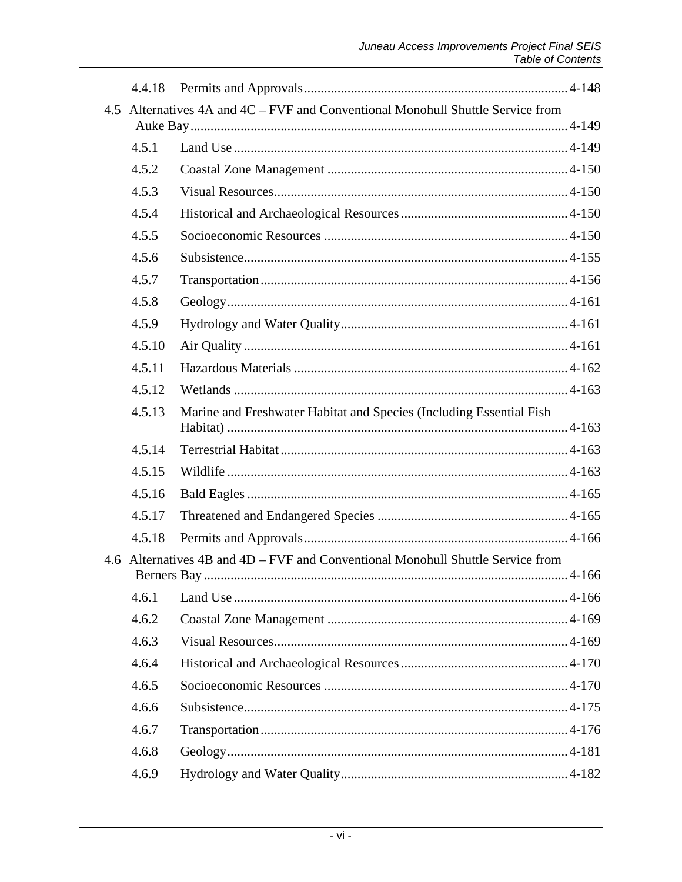|     | 4.4.18       |                                                                                 |  |
|-----|--------------|---------------------------------------------------------------------------------|--|
| 4.5 |              | Alternatives 4A and 4C - FVF and Conventional Monohull Shuttle Service from     |  |
|     | 4.5.1        |                                                                                 |  |
|     | 4.5.2        |                                                                                 |  |
|     | 4.5.3        |                                                                                 |  |
|     | 4.5.4        |                                                                                 |  |
|     | 4.5.5        |                                                                                 |  |
|     | 4.5.6        |                                                                                 |  |
|     | 4.5.7        |                                                                                 |  |
|     | 4.5.8        |                                                                                 |  |
|     | 4.5.9        |                                                                                 |  |
|     | 4.5.10       |                                                                                 |  |
|     | 4.5.11       |                                                                                 |  |
|     | 4.5.12       |                                                                                 |  |
|     | 4.5.13       | Marine and Freshwater Habitat and Species (Including Essential Fish             |  |
|     | 4.5.14       |                                                                                 |  |
|     | 4.5.15       |                                                                                 |  |
|     | 4.5.16       |                                                                                 |  |
|     | 4.5.17       |                                                                                 |  |
|     | 4.5.18       |                                                                                 |  |
|     | Berners Bay. | 4.6 Alternatives 4B and 4D – FVF and Conventional Monohull Shuttle Service from |  |
|     | 4.6.1        |                                                                                 |  |
|     | 4.6.2        |                                                                                 |  |
|     | 4.6.3        |                                                                                 |  |
|     | 4.6.4        |                                                                                 |  |
|     | 4.6.5        |                                                                                 |  |
|     | 4.6.6        |                                                                                 |  |
|     | 4.6.7        |                                                                                 |  |
|     | 4.6.8        |                                                                                 |  |
|     | 4.6.9        |                                                                                 |  |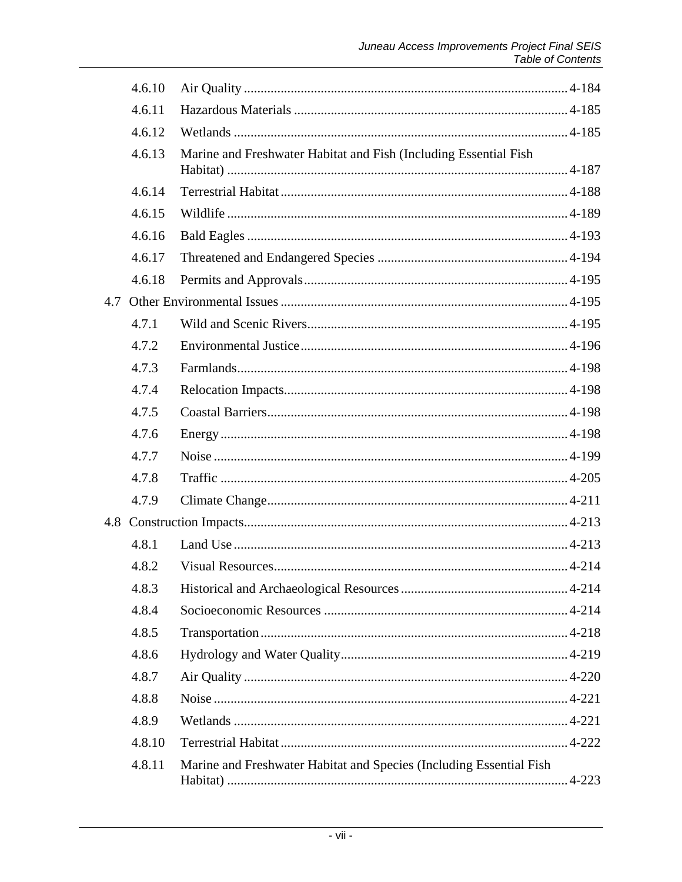|     | 4.6.10 |                                                                     |  |
|-----|--------|---------------------------------------------------------------------|--|
|     | 4.6.11 |                                                                     |  |
|     | 4.6.12 |                                                                     |  |
|     | 4.6.13 | Marine and Freshwater Habitat and Fish (Including Essential Fish    |  |
|     | 4.6.14 |                                                                     |  |
|     | 4.6.15 |                                                                     |  |
|     | 4.6.16 |                                                                     |  |
|     | 4.6.17 |                                                                     |  |
|     | 4.6.18 |                                                                     |  |
| 4.7 |        |                                                                     |  |
|     | 4.7.1  |                                                                     |  |
|     | 4.7.2  |                                                                     |  |
|     | 4.7.3  |                                                                     |  |
|     | 4.7.4  |                                                                     |  |
|     | 4.7.5  |                                                                     |  |
|     | 4.7.6  |                                                                     |  |
|     | 4.7.7  |                                                                     |  |
|     | 4.7.8  |                                                                     |  |
|     | 4.7.9  |                                                                     |  |
| 4.8 |        |                                                                     |  |
|     | 4.8.1  |                                                                     |  |
|     | 4.8.2  |                                                                     |  |
|     | 4.8.3  |                                                                     |  |
|     | 4.8.4  |                                                                     |  |
|     | 4.8.5  |                                                                     |  |
|     | 4.8.6  |                                                                     |  |
|     | 4.8.7  |                                                                     |  |
|     | 4.8.8  |                                                                     |  |
|     | 4.8.9  |                                                                     |  |
|     | 4.8.10 |                                                                     |  |
|     | 4.8.11 | Marine and Freshwater Habitat and Species (Including Essential Fish |  |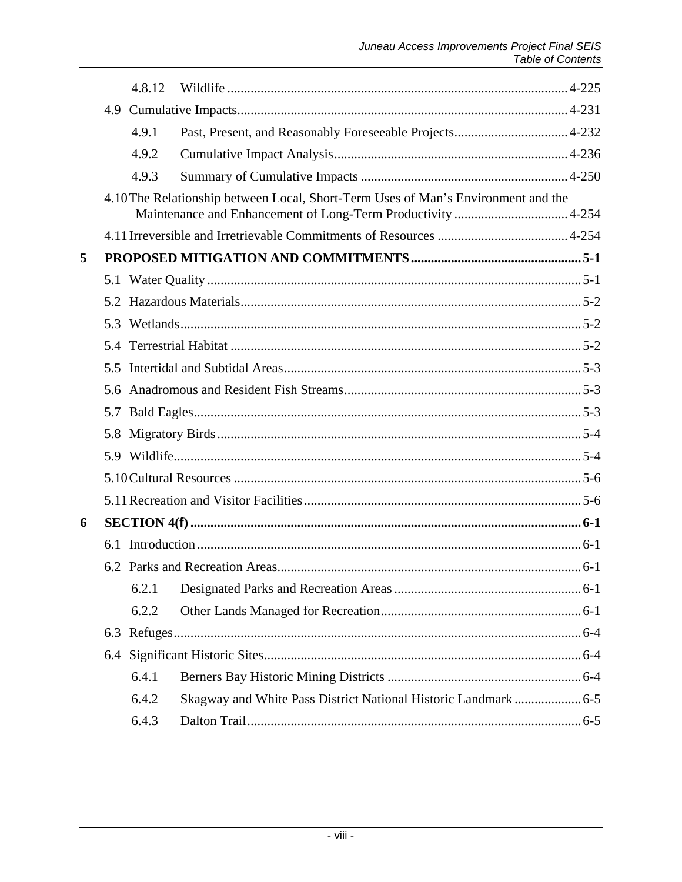|   |     | 4.8.12 |                                                                                   |  |
|---|-----|--------|-----------------------------------------------------------------------------------|--|
|   |     |        |                                                                                   |  |
|   |     | 4.9.1  |                                                                                   |  |
|   |     | 4.9.2  |                                                                                   |  |
|   |     | 4.9.3  |                                                                                   |  |
|   |     |        | 4.10 The Relationship between Local, Short-Term Uses of Man's Environment and the |  |
|   |     |        |                                                                                   |  |
| 5 |     |        |                                                                                   |  |
|   |     |        |                                                                                   |  |
|   |     |        |                                                                                   |  |
|   |     |        |                                                                                   |  |
|   | 5.4 |        |                                                                                   |  |
|   |     |        |                                                                                   |  |
|   |     |        |                                                                                   |  |
|   |     |        |                                                                                   |  |
|   |     |        |                                                                                   |  |
|   |     |        |                                                                                   |  |
|   |     |        |                                                                                   |  |
|   |     |        |                                                                                   |  |
| 6 |     |        |                                                                                   |  |
|   |     |        |                                                                                   |  |
|   |     |        |                                                                                   |  |
|   |     | 6.2.1  |                                                                                   |  |
|   |     | 6.2.2  |                                                                                   |  |
|   |     |        |                                                                                   |  |
|   |     |        |                                                                                   |  |
|   |     | 6.4.1  |                                                                                   |  |
|   |     | 6.4.2  |                                                                                   |  |
|   |     | 6.4.3  |                                                                                   |  |
|   |     |        |                                                                                   |  |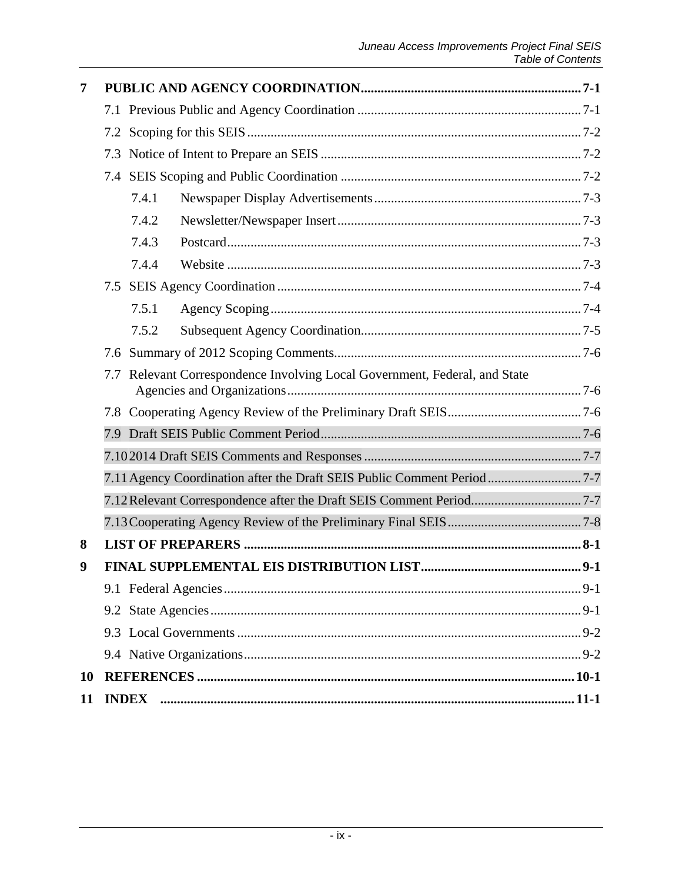| 7         |                                                                         |              |                                                                            |  |
|-----------|-------------------------------------------------------------------------|--------------|----------------------------------------------------------------------------|--|
|           |                                                                         |              |                                                                            |  |
|           |                                                                         |              |                                                                            |  |
|           |                                                                         |              |                                                                            |  |
|           |                                                                         |              |                                                                            |  |
|           |                                                                         | 7.4.1        |                                                                            |  |
|           |                                                                         | 7.4.2        |                                                                            |  |
|           |                                                                         | 7.4.3        |                                                                            |  |
|           |                                                                         | 7.4.4        |                                                                            |  |
|           |                                                                         |              |                                                                            |  |
|           |                                                                         | 7.5.1        |                                                                            |  |
|           |                                                                         | 7.5.2        |                                                                            |  |
|           |                                                                         |              |                                                                            |  |
|           |                                                                         |              | 7.7 Relevant Correspondence Involving Local Government, Federal, and State |  |
|           |                                                                         |              |                                                                            |  |
|           |                                                                         |              |                                                                            |  |
|           |                                                                         |              |                                                                            |  |
|           | 7.11 Agency Coordination after the Draft SEIS Public Comment Period 7-7 |              |                                                                            |  |
|           |                                                                         |              |                                                                            |  |
|           |                                                                         |              |                                                                            |  |
| 8         |                                                                         |              |                                                                            |  |
| 9         |                                                                         |              |                                                                            |  |
|           |                                                                         |              |                                                                            |  |
|           |                                                                         |              |                                                                            |  |
|           |                                                                         |              |                                                                            |  |
|           |                                                                         |              |                                                                            |  |
| <b>10</b> |                                                                         |              |                                                                            |  |
| 11        |                                                                         | <b>INDEX</b> |                                                                            |  |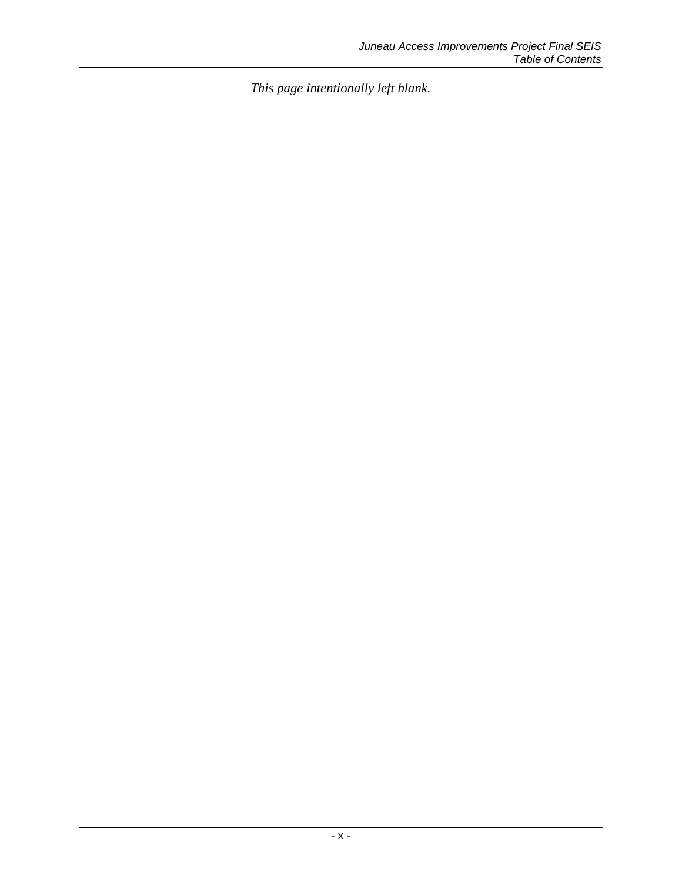*This page intentionally left blank.*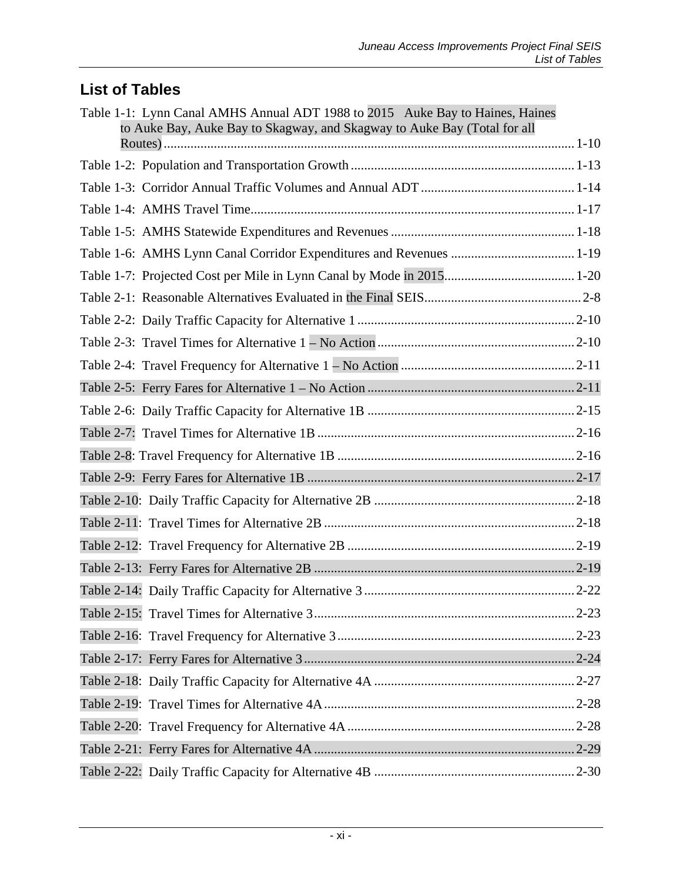## **List of Tables**

| Table 1-1: Lynn Canal AMHS Annual ADT 1988 to 2015 Auke Bay to Haines, Haines<br>to Auke Bay, Auke Bay to Skagway, and Skagway to Auke Bay (Total for all |
|-----------------------------------------------------------------------------------------------------------------------------------------------------------|
|                                                                                                                                                           |
|                                                                                                                                                           |
|                                                                                                                                                           |
|                                                                                                                                                           |
|                                                                                                                                                           |
|                                                                                                                                                           |
|                                                                                                                                                           |
|                                                                                                                                                           |
|                                                                                                                                                           |
|                                                                                                                                                           |
|                                                                                                                                                           |
|                                                                                                                                                           |
|                                                                                                                                                           |
|                                                                                                                                                           |
|                                                                                                                                                           |
|                                                                                                                                                           |
|                                                                                                                                                           |
|                                                                                                                                                           |
|                                                                                                                                                           |
|                                                                                                                                                           |
|                                                                                                                                                           |
|                                                                                                                                                           |
|                                                                                                                                                           |
|                                                                                                                                                           |
|                                                                                                                                                           |
|                                                                                                                                                           |
|                                                                                                                                                           |
|                                                                                                                                                           |
|                                                                                                                                                           |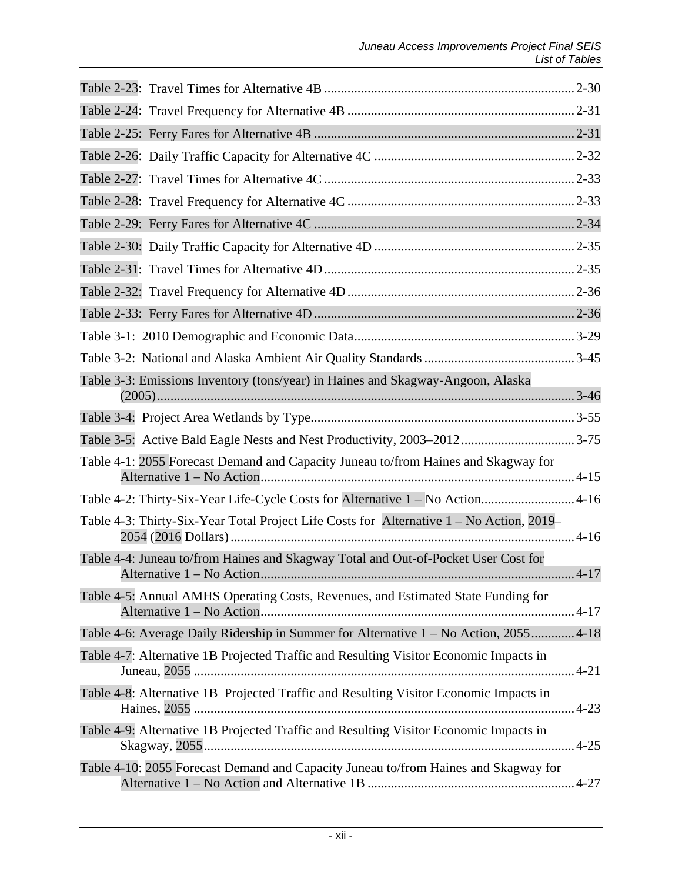| Table 3-3: Emissions Inventory (tons/year) in Haines and Skagway-Angoon, Alaska          |  |
|------------------------------------------------------------------------------------------|--|
|                                                                                          |  |
|                                                                                          |  |
| Table 4-1: 2055 Forecast Demand and Capacity Juneau to/from Haines and Skagway for       |  |
| Table 4-2: Thirty-Six-Year Life-Cycle Costs for Alternative 1 – No Action4-16            |  |
| Table 4-3: Thirty-Six-Year Total Project Life Costs for Alternative 1 - No Action, 2019- |  |
| Table 4-4: Juneau to/from Haines and Skagway Total and Out-of-Pocket User Cost for       |  |
| Table 4-5: Annual AMHS Operating Costs, Revenues, and Estimated State Funding for        |  |
| Table 4-6: Average Daily Ridership in Summer for Alternative 1 - No Action, 2055 4-18    |  |
| Table 4-7: Alternative 1B Projected Traffic and Resulting Visitor Economic Impacts in    |  |
| Table 4-8: Alternative 1B Projected Traffic and Resulting Visitor Economic Impacts in    |  |
| Table 4-9: Alternative 1B Projected Traffic and Resulting Visitor Economic Impacts in    |  |
| Table 4-10: 2055 Forecast Demand and Capacity Juneau to/from Haines and Skagway for      |  |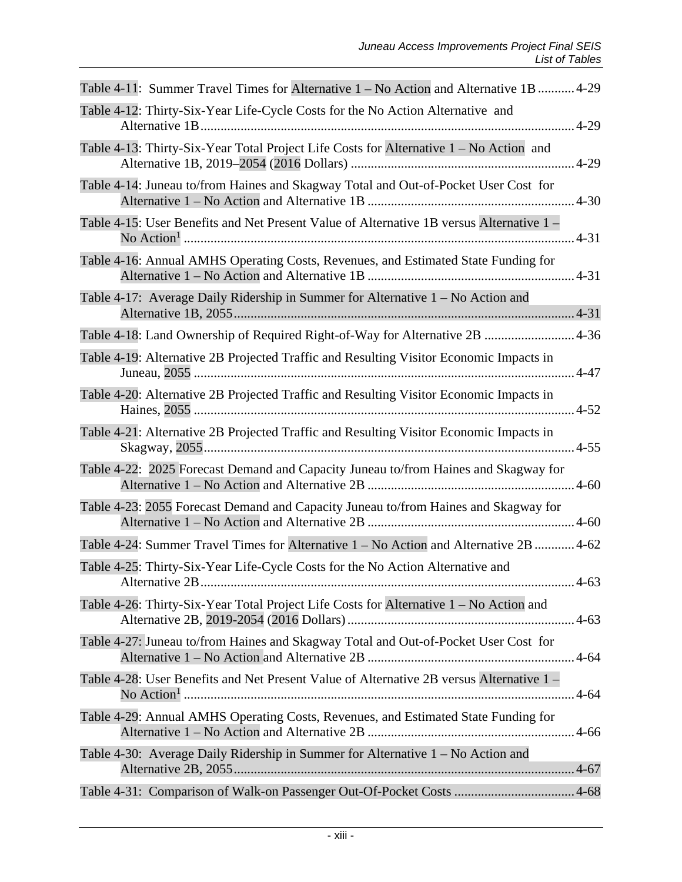| Table 4-11: Summer Travel Times for Alternative 1 – No Action and Alternative 1B  4-29   |
|------------------------------------------------------------------------------------------|
| Table 4-12: Thirty-Six-Year Life-Cycle Costs for the No Action Alternative and           |
| Table 4-13: Thirty-Six-Year Total Project Life Costs for Alternative 1 - No Action and   |
| Table 4-14: Juneau to/from Haines and Skagway Total and Out-of-Pocket User Cost for      |
| Table 4-15: User Benefits and Net Present Value of Alternative 1B versus Alternative 1 – |
| Table 4-16: Annual AMHS Operating Costs, Revenues, and Estimated State Funding for       |
| Table 4-17: Average Daily Ridership in Summer for Alternative 1 - No Action and          |
| Table 4-18: Land Ownership of Required Right-of-Way for Alternative 2B  4-36             |
| Table 4-19: Alternative 2B Projected Traffic and Resulting Visitor Economic Impacts in   |
| Table 4-20: Alternative 2B Projected Traffic and Resulting Visitor Economic Impacts in   |
| Table 4-21: Alternative 2B Projected Traffic and Resulting Visitor Economic Impacts in   |
| Table 4-22: 2025 Forecast Demand and Capacity Juneau to/from Haines and Skagway for      |
| Table 4-23: 2055 Forecast Demand and Capacity Juneau to/from Haines and Skagway for      |
| Table 4-24: Summer Travel Times for Alternative 1 - No Action and Alternative 2B  4-62   |
| Table 4-25: Thirty-Six-Year Life-Cycle Costs for the No Action Alternative and           |
| Table 4-26: Thirty-Six-Year Total Project Life Costs for Alternative 1 - No Action and   |
| Table 4-27: Juneau to/from Haines and Skagway Total and Out-of-Pocket User Cost for      |
| Table 4-28: User Benefits and Net Present Value of Alternative 2B versus Alternative 1 - |
| Table 4-29: Annual AMHS Operating Costs, Revenues, and Estimated State Funding for       |
| Table 4-30: Average Daily Ridership in Summer for Alternative 1 - No Action and          |
|                                                                                          |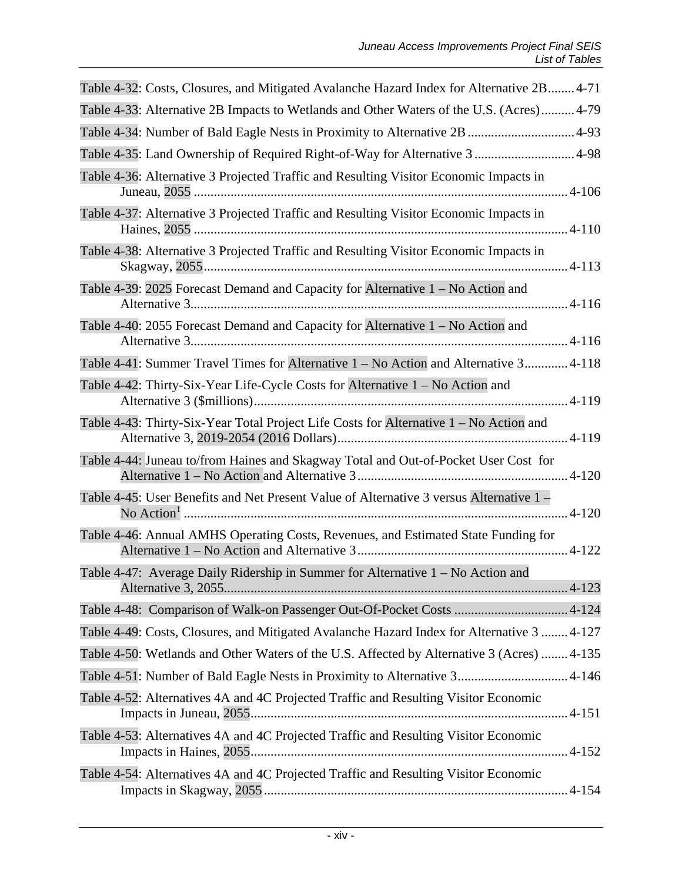| Table 4-32: Costs, Closures, and Mitigated Avalanche Hazard Index for Alternative 2B 4-71  |
|--------------------------------------------------------------------------------------------|
| Table 4-33: Alternative 2B Impacts to Wetlands and Other Waters of the U.S. (Acres) 4-79   |
|                                                                                            |
| Table 4-35: Land Ownership of Required Right-of-Way for Alternative 3  4-98                |
| Table 4-36: Alternative 3 Projected Traffic and Resulting Visitor Economic Impacts in      |
| Table 4-37: Alternative 3 Projected Traffic and Resulting Visitor Economic Impacts in      |
| Table 4-38: Alternative 3 Projected Traffic and Resulting Visitor Economic Impacts in      |
| Table 4-39: 2025 Forecast Demand and Capacity for Alternative 1 – No Action and            |
| Table 4-40: 2055 Forecast Demand and Capacity for Alternative 1 - No Action and            |
| Table 4-41: Summer Travel Times for Alternative 1 - No Action and Alternative 3 4-118      |
| Table 4-42: Thirty-Six-Year Life-Cycle Costs for Alternative 1 - No Action and             |
| Table 4-43: Thirty-Six-Year Total Project Life Costs for Alternative 1 – No Action and     |
| Table 4-44: Juneau to/from Haines and Skagway Total and Out-of-Pocket User Cost for        |
| Table 4-45: User Benefits and Net Present Value of Alternative 3 versus Alternative 1 –    |
| Table 4-46: Annual AMHS Operating Costs, Revenues, and Estimated State Funding for         |
| Table 4-47: Average Daily Ridership in Summer for Alternative 1 – No Action and            |
|                                                                                            |
| Table 4-49: Costs, Closures, and Mitigated Avalanche Hazard Index for Alternative 3  4-127 |
| Table 4-50: Wetlands and Other Waters of the U.S. Affected by Alternative 3 (Acres)  4-135 |
|                                                                                            |
| Table 4-52: Alternatives 4A and 4C Projected Traffic and Resulting Visitor Economic        |
| Table 4-53: Alternatives 4A and 4C Projected Traffic and Resulting Visitor Economic        |
| Table 4-54: Alternatives 4A and 4C Projected Traffic and Resulting Visitor Economic        |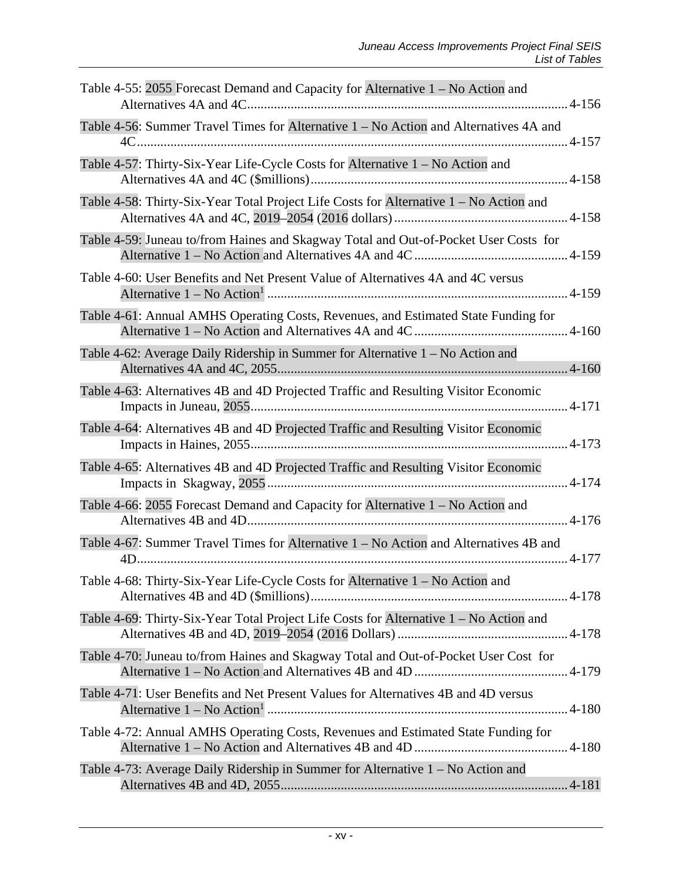| Table 4-55: 2055 Forecast Demand and Capacity for Alternative 1 – No Action and        |
|----------------------------------------------------------------------------------------|
| Table 4-56: Summer Travel Times for Alternative 1 - No Action and Alternatives 4A and  |
| Table 4-57: Thirty-Six-Year Life-Cycle Costs for Alternative 1 - No Action and         |
| Table 4-58: Thirty-Six-Year Total Project Life Costs for Alternative 1 – No Action and |
| Table 4-59: Juneau to/from Haines and Skagway Total and Out-of-Pocket User Costs for   |
| Table 4-60: User Benefits and Net Present Value of Alternatives 4A and 4C versus       |
| Table 4-61: Annual AMHS Operating Costs, Revenues, and Estimated State Funding for     |
| Table 4-62: Average Daily Ridership in Summer for Alternative 1 - No Action and        |
| Table 4-63: Alternatives 4B and 4D Projected Traffic and Resulting Visitor Economic    |
| Table 4-64: Alternatives 4B and 4D Projected Traffic and Resulting Visitor Economic    |
| Table 4-65: Alternatives 4B and 4D Projected Traffic and Resulting Visitor Economic    |
| Table 4-66: 2055 Forecast Demand and Capacity for Alternative 1 - No Action and        |
| Table 4-67: Summer Travel Times for Alternative 1 – No Action and Alternatives 4B and  |
| Table 4-68: Thirty-Six-Year Life-Cycle Costs for Alternative 1 - No Action and         |
| Table 4-69: Thirty-Six-Year Total Project Life Costs for Alternative 1 – No Action and |
| Table 4-70: Juneau to/from Haines and Skagway Total and Out-of-Pocket User Cost for    |
| Table 4-71: User Benefits and Net Present Values for Alternatives 4B and 4D versus     |
| Table 4-72: Annual AMHS Operating Costs, Revenues and Estimated State Funding for      |
| Table 4-73: Average Daily Ridership in Summer for Alternative 1 - No Action and        |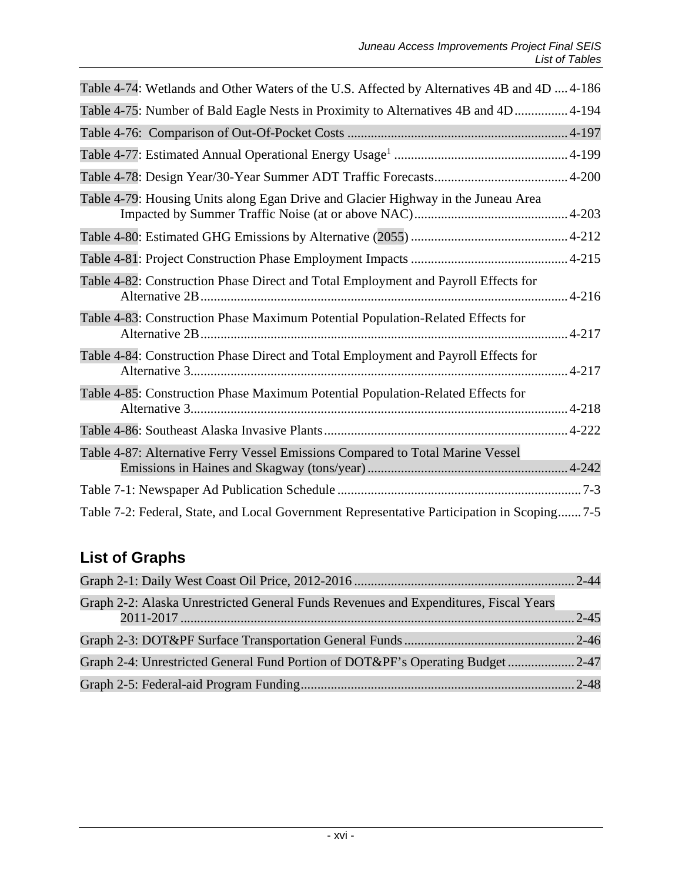| Table 4-74: Wetlands and Other Waters of the U.S. Affected by Alternatives 4B and 4D  4-186 |
|---------------------------------------------------------------------------------------------|
| Table 4-75: Number of Bald Eagle Nests in Proximity to Alternatives 4B and 4D 4-194         |
|                                                                                             |
|                                                                                             |
|                                                                                             |
| Table 4-79: Housing Units along Egan Drive and Glacier Highway in the Juneau Area           |
|                                                                                             |
|                                                                                             |
| Table 4-82: Construction Phase Direct and Total Employment and Payroll Effects for          |
| Table 4-83: Construction Phase Maximum Potential Population-Related Effects for             |
| Table 4-84: Construction Phase Direct and Total Employment and Payroll Effects for          |
| Table 4-85: Construction Phase Maximum Potential Population-Related Effects for             |
|                                                                                             |
| Table 4-87: Alternative Ferry Vessel Emissions Compared to Total Marine Vessel              |
|                                                                                             |
| Table 7-2: Federal, State, and Local Government Representative Participation in Scoping 7-5 |

# **List of Graphs**

| Graph 2-2: Alaska Unrestricted General Funds Revenues and Expenditures, Fiscal Years |  |
|--------------------------------------------------------------------------------------|--|
|                                                                                      |  |
|                                                                                      |  |
| Graph 2-4: Unrestricted General Fund Portion of DOT&PF's Operating Budget2-47        |  |
|                                                                                      |  |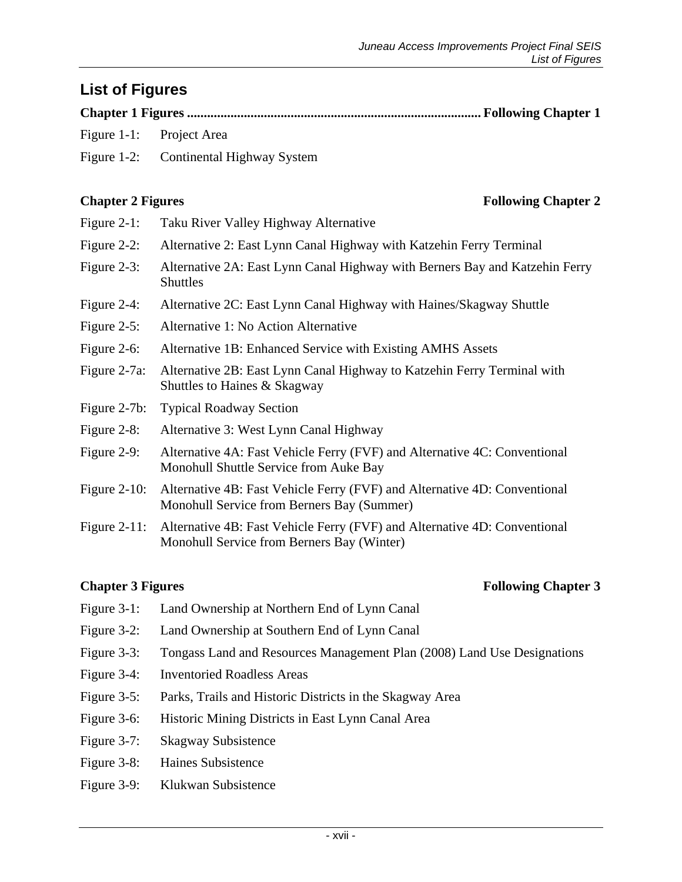## **List of Figures**

**Chapter 1 Figures ........................................................................................ Following Chapter 1**

- Figure 1-1: Project Area
- Figure 1-2: Continental Highway System

- Figure 2-1: Taku River Valley Highway Alternative
- Figure 2-2: Alternative 2: East Lynn Canal Highway with Katzehin Ferry Terminal
- Figure 2-3: Alternative 2A: East Lynn Canal Highway with Berners Bay and Katzehin Ferry **Shuttles**
- Figure 2-4: Alternative 2C: East Lynn Canal Highway with Haines/Skagway Shuttle
- Figure 2-5: Alternative 1: No Action Alternative
- Figure 2-6: Alternative 1B: Enhanced Service with Existing AMHS Assets
- Figure 2-7a: Alternative 2B: East Lynn Canal Highway to Katzehin Ferry Terminal with Shuttles to Haines & Skagway
- Figure 2-7b: Typical Roadway Section
- Figure 2-8: Alternative 3: West Lynn Canal Highway
- Figure 2-9: Alternative 4A: Fast Vehicle Ferry (FVF) and Alternative 4C: Conventional Monohull Shuttle Service from Auke Bay
- Figure 2-10: Alternative 4B: Fast Vehicle Ferry (FVF) and Alternative 4D: Conventional Monohull Service from Berners Bay (Summer)
- Figure 2-11: Alternative 4B: Fast Vehicle Ferry (FVF) and Alternative 4D: Conventional Monohull Service from Berners Bay (Winter)

### **Chapter 3 Figures Following Chapter 3**

- Figure 3-1: Land Ownership at Northern End of Lynn Canal
- Figure 3-2: Land Ownership at Southern End of Lynn Canal
- Figure 3-3: Tongass Land and Resources Management Plan (2008) Land Use Designations
- Figure 3-4: Inventoried Roadless Areas
- Figure 3-5: Parks, Trails and Historic Districts in the Skagway Area
- Figure 3-6: Historic Mining Districts in East Lynn Canal Area
- Figure 3-7: Skagway Subsistence
- Figure 3-8: Haines Subsistence
- Figure 3-9: Klukwan Subsistence

### **Chapter 2 Figures Following Chapter 2**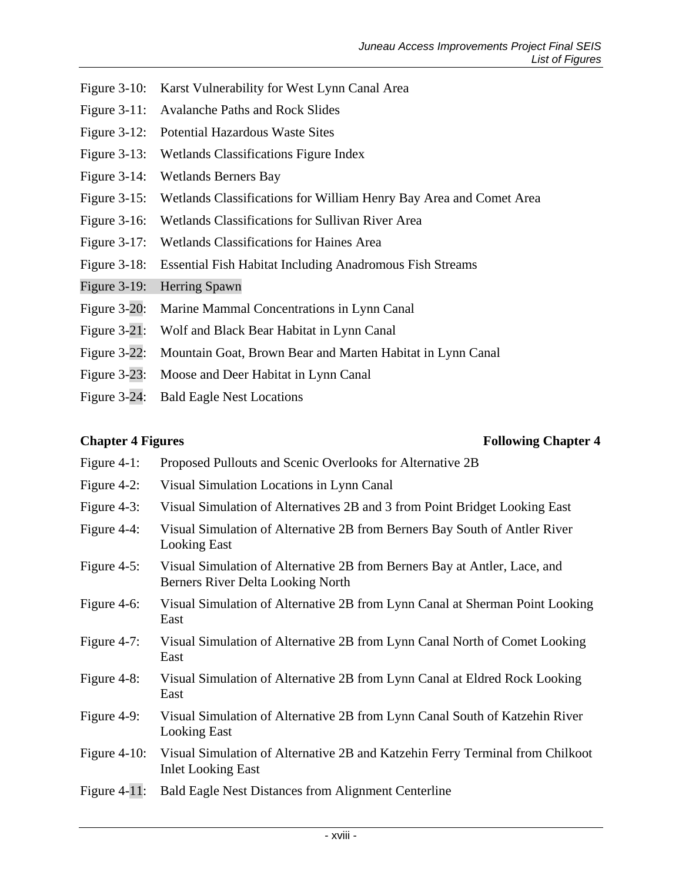- Figure 3-10: Karst Vulnerability for West Lynn Canal Area
- Figure 3-11: Avalanche Paths and Rock Slides
- Figure 3-12: Potential Hazardous Waste Sites
- Figure 3-13: Wetlands Classifications Figure Index
- Figure 3-14: Wetlands Berners Bay
- Figure 3-15: Wetlands Classifications for William Henry Bay Area and Comet Area
- Figure 3-16: Wetlands Classifications for Sullivan River Area
- Figure 3-17: Wetlands Classifications for Haines Area
- Figure 3-18: Essential Fish Habitat Including Anadromous Fish Streams
- Figure 3-19: Herring Spawn
- Figure 3-20: Marine Mammal Concentrations in Lynn Canal
- Figure 3-21: Wolf and Black Bear Habitat in Lynn Canal
- Figure 3-22: Mountain Goat, Brown Bear and Marten Habitat in Lynn Canal
- Figure 3-23: Moose and Deer Habitat in Lynn Canal
- Figure 3-24: Bald Eagle Nest Locations

## **Chapter 4 Figures Following Chapter 4**

- Figure 4-1: Proposed Pullouts and Scenic Overlooks for Alternative 2B
- Figure 4-2: Visual Simulation Locations in Lynn Canal
- Figure 4-3: Visual Simulation of Alternatives 2B and 3 from Point Bridget Looking East
- Figure 4-4: Visual Simulation of Alternative 2B from Berners Bay South of Antler River Looking East
- Figure 4-5: Visual Simulation of Alternative 2B from Berners Bay at Antler, Lace, and Berners River Delta Looking North
- Figure 4-6: Visual Simulation of Alternative 2B from Lynn Canal at Sherman Point Looking East
- Figure 4-7: Visual Simulation of Alternative 2B from Lynn Canal North of Comet Looking East
- Figure 4-8: Visual Simulation of Alternative 2B from Lynn Canal at Eldred Rock Looking East
- Figure 4-9: Visual Simulation of Alternative 2B from Lynn Canal South of Katzehin River Looking East
- Figure 4-10: Visual Simulation of Alternative 2B and Katzehin Ferry Terminal from Chilkoot Inlet Looking East
- Figure 4-11: Bald Eagle Nest Distances from Alignment Centerline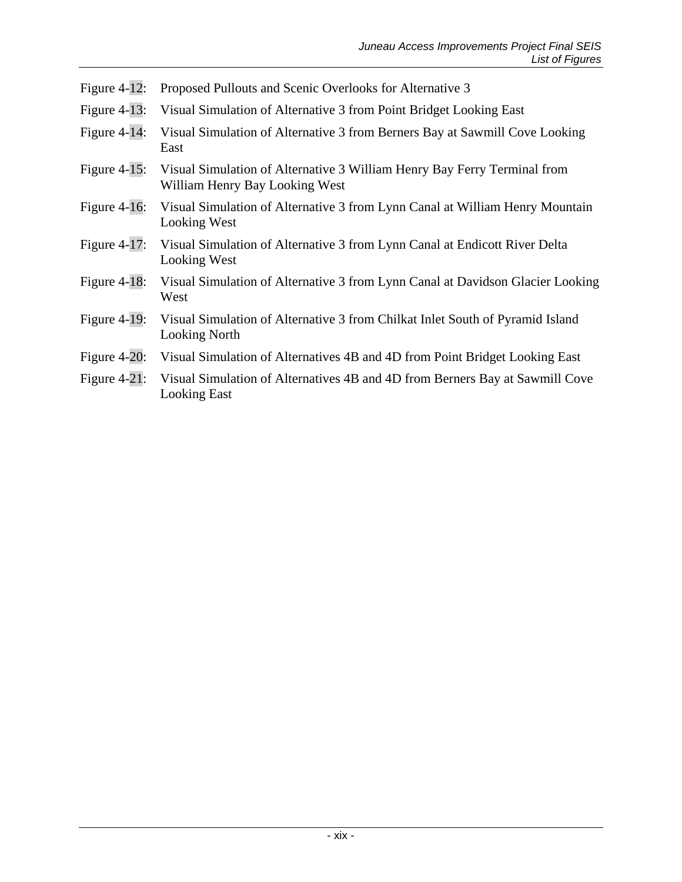- Figure 4-12: Proposed Pullouts and Scenic Overlooks for Alternative 3
- Figure 4-13: Visual Simulation of Alternative 3 from Point Bridget Looking East
- Figure 4-14: Visual Simulation of Alternative 3 from Berners Bay at Sawmill Cove Looking East
- Figure 4-15: Visual Simulation of Alternative 3 William Henry Bay Ferry Terminal from William Henry Bay Looking West
- Figure 4-16: Visual Simulation of Alternative 3 from Lynn Canal at William Henry Mountain Looking West
- Figure 4-17: Visual Simulation of Alternative 3 from Lynn Canal at Endicott River Delta Looking West
- Figure 4-18: Visual Simulation of Alternative 3 from Lynn Canal at Davidson Glacier Looking West
- Figure 4-19: Visual Simulation of Alternative 3 from Chilkat Inlet South of Pyramid Island Looking North
- Figure 4-20: Visual Simulation of Alternatives 4B and 4D from Point Bridget Looking East
- Figure 4-21: Visual Simulation of Alternatives 4B and 4D from Berners Bay at Sawmill Cove Looking East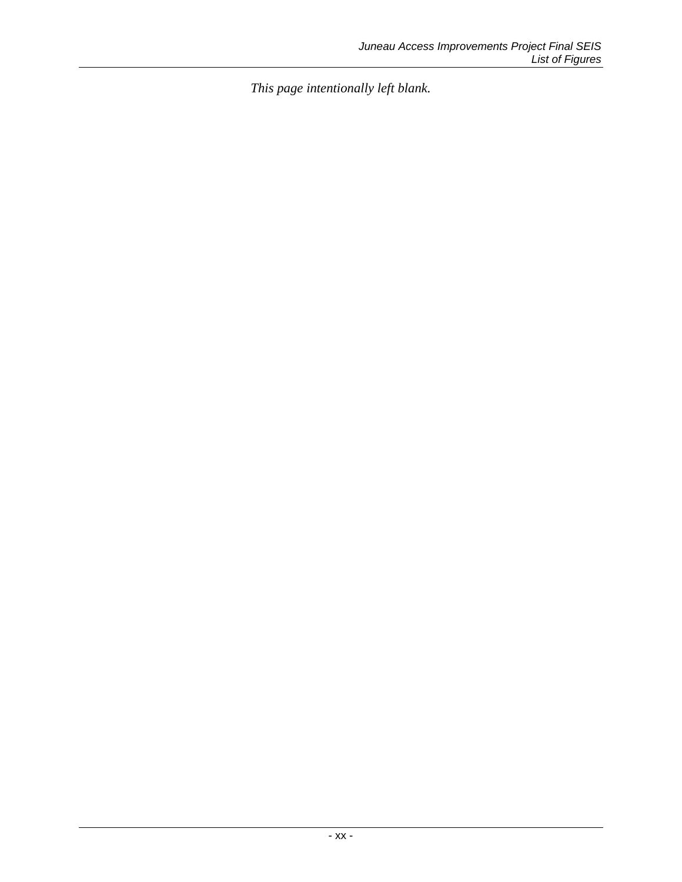*This page intentionally left blank.*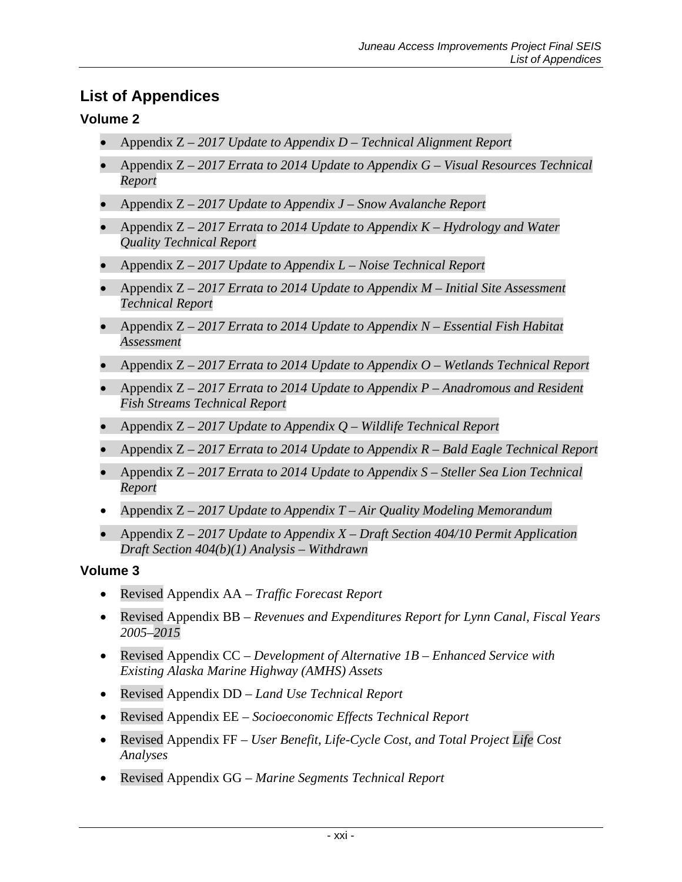## **List of Appendices**

## **Volume 2**

- Appendix Z *2017 Update to Appendix D – Technical Alignment Report*
- Appendix Z *2017 Errata to 2014 Update to Appendix G – Visual Resources Technical Report*
- Appendix Z *2017 Update to Appendix J – Snow Avalanche Report*
- Appendix Z *2017 Errata to 2014 Update to Appendix K – Hydrology and Water Quality Technical Report*
- Appendix Z *2017 Update to Appendix L – Noise Technical Report*
- Appendix Z *2017 Errata to 2014 Update to Appendix M – Initial Site Assessment Technical Report*
- Appendix Z *2017 Errata to 2014 Update to Appendix N – Essential Fish Habitat Assessment*
- Appendix Z *2017 Errata to 2014 Update to Appendix O – Wetlands Technical Report*
- Appendix Z *2017 Errata to 2014 Update to Appendix P – Anadromous and Resident Fish Streams Technical Report*
- Appendix Z *2017 Update to Appendix Q – Wildlife Technical Report*
- Appendix Z *2017 Errata to 2014 Update to Appendix R – Bald Eagle Technical Report*
- Appendix Z *2017 Errata to 2014 Update to Appendix S – Steller Sea Lion Technical Report*
- Appendix Z *2017 Update to Appendix T – Air Quality Modeling Memorandum*
- Appendix Z *2017 Update to Appendix X – Draft Section 404/10 Permit Application Draft Section 404(b)(1) Analysis – Withdrawn*

### **Volume 3**

- Revised Appendix AA *Traffic Forecast Report*
- Revised Appendix BB *Revenues and Expenditures Report for Lynn Canal, Fiscal Years 2005–2015*
- Revised Appendix CC *Development of Alternative 1B – Enhanced Service with Existing Alaska Marine Highway (AMHS) Assets*
- Revised Appendix DD *Land Use Technical Report*
- Revised Appendix EE *Socioeconomic Effects Technical Report*
- Revised Appendix FF *User Benefit, Life-Cycle Cost, and Total Project Life Cost Analyses*
- Revised Appendix GG *Marine Segments Technical Report*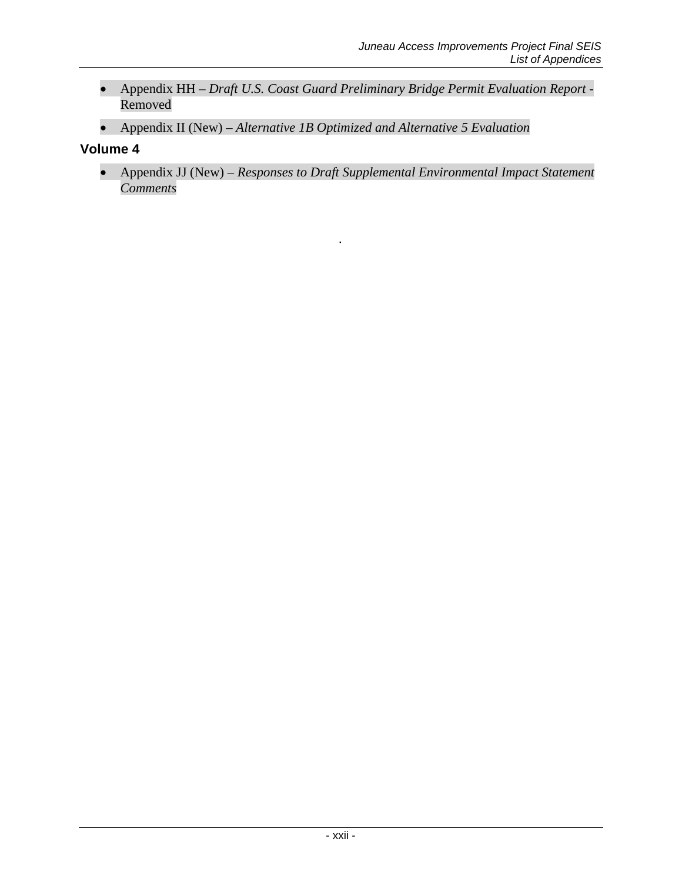- Appendix HH *Draft U.S. Coast Guard Preliminary Bridge Permit Evaluation Report* Removed
- Appendix II (New) *Alternative 1B Optimized and Alternative 5 Evaluation*

## **Volume 4**

• Appendix JJ (New) – *Responses to Draft Supplemental Environmental Impact Statement Comments*

*.*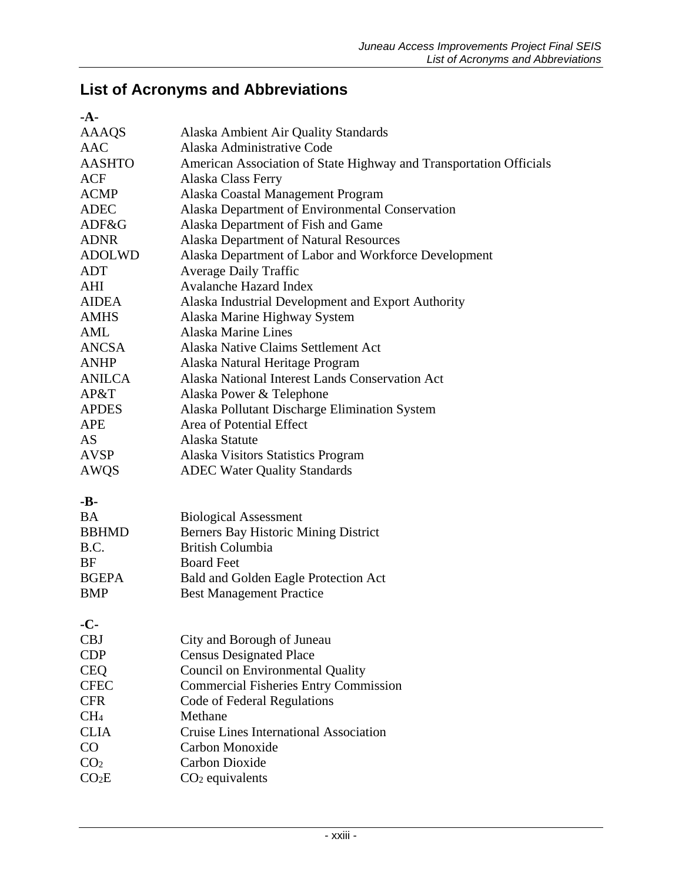# **List of Acronyms and Abbreviations**

| -A-               |                                                                    |
|-------------------|--------------------------------------------------------------------|
| <b>AAAQS</b>      | Alaska Ambient Air Quality Standards                               |
| <b>AAC</b>        | Alaska Administrative Code                                         |
| <b>AASHTO</b>     | American Association of State Highway and Transportation Officials |
| ACF               | Alaska Class Ferry                                                 |
| <b>ACMP</b>       | Alaska Coastal Management Program                                  |
| <b>ADEC</b>       | Alaska Department of Environmental Conservation                    |
| ADF&G             | Alaska Department of Fish and Game                                 |
| <b>ADNR</b>       | Alaska Department of Natural Resources                             |
| <b>ADOLWD</b>     | Alaska Department of Labor and Workforce Development               |
| ADT               | <b>Average Daily Traffic</b>                                       |
| AHI               | <b>Avalanche Hazard Index</b>                                      |
| <b>AIDEA</b>      | Alaska Industrial Development and Export Authority                 |
| <b>AMHS</b>       | Alaska Marine Highway System                                       |
| AML               | Alaska Marine Lines                                                |
| <b>ANCSA</b>      | Alaska Native Claims Settlement Act                                |
| <b>ANHP</b>       | Alaska Natural Heritage Program                                    |
| <b>ANILCA</b>     | Alaska National Interest Lands Conservation Act                    |
| AP&T              | Alaska Power & Telephone                                           |
| <b>APDES</b>      | Alaska Pollutant Discharge Elimination System                      |
| <b>APE</b>        | Area of Potential Effect                                           |
| <b>AS</b>         | Alaska Statute                                                     |
| <b>AVSP</b>       | Alaska Visitors Statistics Program                                 |
| AWQS              | <b>ADEC Water Quality Standards</b>                                |
| -B-               |                                                                    |
| <b>BA</b>         | <b>Biological Assessment</b>                                       |
| <b>BBHMD</b>      | Berners Bay Historic Mining District                               |
| B.C.              | <b>British Columbia</b>                                            |
| BF                | <b>Board Feet</b>                                                  |
| <b>BGEPA</b>      | Bald and Golden Eagle Protection Act                               |
| <b>BMP</b>        | <b>Best Management Practice</b>                                    |
|                   |                                                                    |
| $-C-$             |                                                                    |
| <b>CBJ</b>        | City and Borough of Juneau                                         |
| <b>CDP</b>        | <b>Census Designated Place</b>                                     |
| <b>CEQ</b>        | Council on Environmental Quality                                   |
| <b>CFEC</b>       | <b>Commercial Fisheries Entry Commission</b>                       |
| <b>CFR</b>        | Code of Federal Regulations                                        |
| CH <sub>4</sub>   | Methane                                                            |
| <b>CLIA</b>       | Cruise Lines International Association                             |
| CO                | Carbon Monoxide                                                    |
| CO <sub>2</sub>   | Carbon Dioxide                                                     |
| CO <sub>2</sub> E | $CO2$ equivalents                                                  |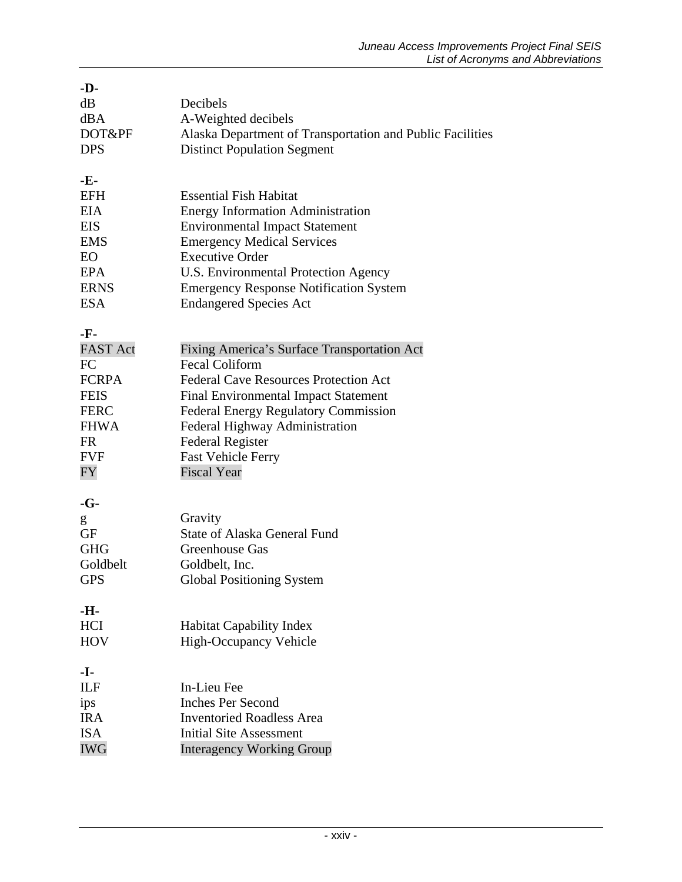| -D-             |                                                           |
|-----------------|-----------------------------------------------------------|
| dB              | Decibels                                                  |
| dBA             | A-Weighted decibels                                       |
| DOT&PF          | Alaska Department of Transportation and Public Facilities |
| <b>DPS</b>      | <b>Distinct Population Segment</b>                        |
|                 |                                                           |
| -E-             |                                                           |
| <b>EFH</b>      | <b>Essential Fish Habitat</b>                             |
| <b>EIA</b>      | <b>Energy Information Administration</b>                  |
| <b>EIS</b>      | <b>Environmental Impact Statement</b>                     |
| <b>EMS</b>      | <b>Emergency Medical Services</b>                         |
| EO              | <b>Executive Order</b>                                    |
| <b>EPA</b>      | U.S. Environmental Protection Agency                      |
| <b>ERNS</b>     | <b>Emergency Response Notification System</b>             |
| <b>ESA</b>      | <b>Endangered Species Act</b>                             |
|                 |                                                           |
| -F-             |                                                           |
| <b>FAST Act</b> | Fixing America's Surface Transportation Act               |
| FC              | <b>Fecal Coliform</b>                                     |
| <b>FCRPA</b>    | <b>Federal Cave Resources Protection Act</b>              |
| <b>FEIS</b>     | Final Environmental Impact Statement                      |
| <b>FERC</b>     | Federal Energy Regulatory Commission                      |
| <b>FHWA</b>     | Federal Highway Administration                            |
| FR.             | <b>Federal Register</b>                                   |
| <b>FVF</b>      | <b>Fast Vehicle Ferry</b>                                 |
| FY              | <b>Fiscal Year</b>                                        |
|                 |                                                           |
| $-G-$           |                                                           |
|                 | Gravity                                                   |
| g<br>GF         | <b>State of Alaska General Fund</b>                       |
| <b>GHG</b>      | Greenhouse Gas                                            |
| Goldbelt        | Goldbelt, Inc.                                            |
|                 |                                                           |
| <b>GPS</b>      | <b>Global Positioning System</b>                          |
| -Н-             |                                                           |
| <b>HCI</b>      | <b>Habitat Capability Index</b>                           |
| <b>HOV</b>      | <b>High-Occupancy Vehicle</b>                             |
|                 |                                                           |
| -I-             |                                                           |
| ILF             | In-Lieu Fee                                               |
| ips             | <b>Inches Per Second</b>                                  |
| <b>IRA</b>      | <b>Inventoried Roadless Area</b>                          |
| <b>ISA</b>      | <b>Initial Site Assessment</b>                            |
| <b>IWG</b>      | <b>Interagency Working Group</b>                          |
|                 |                                                           |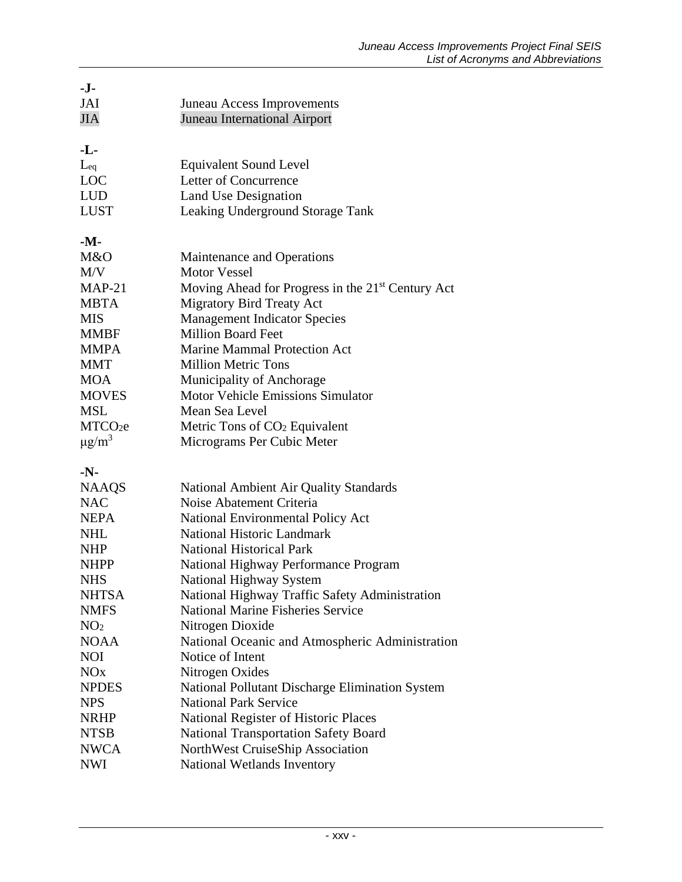| -J-                    |                                                               |
|------------------------|---------------------------------------------------------------|
| JAI                    | Juneau Access Improvements                                    |
| <b>JIA</b>             | Juneau International Airport                                  |
|                        |                                                               |
| -L-                    |                                                               |
| $L_{eq}$               | <b>Equivalent Sound Level</b>                                 |
| LOC                    | Letter of Concurrence                                         |
| <b>LUD</b>             | Land Use Designation                                          |
| <b>LUST</b>            | Leaking Underground Storage Tank                              |
| $-M-$                  |                                                               |
| M&O                    | Maintenance and Operations                                    |
| M/V                    | <b>Motor Vessel</b>                                           |
| $MAP-21$               | Moving Ahead for Progress in the 21 <sup>st</sup> Century Act |
| <b>MBTA</b>            | <b>Migratory Bird Treaty Act</b>                              |
| <b>MIS</b>             | <b>Management Indicator Species</b>                           |
| <b>MMBF</b>            | <b>Million Board Feet</b>                                     |
| <b>MMPA</b>            | Marine Mammal Protection Act                                  |
| <b>MMT</b>             | <b>Million Metric Tons</b>                                    |
| <b>MOA</b>             | Municipality of Anchorage                                     |
| <b>MOVES</b>           | Motor Vehicle Emissions Simulator                             |
| <b>MSL</b>             | Mean Sea Level                                                |
| MTCO <sub>2</sub> e    | Metric Tons of CO <sub>2</sub> Equivalent                     |
| $\mu$ g/m <sup>3</sup> | Micrograms Per Cubic Meter                                    |
|                        |                                                               |
| $-N-$                  |                                                               |
| <b>NAAQS</b>           | National Ambient Air Quality Standards                        |
| <b>NAC</b>             | Noise Abatement Criteria                                      |
| <b>NEPA</b>            | National Environmental Policy Act                             |
| <b>NHL</b>             | National Historic Landmark                                    |
| <b>NHP</b>             | <b>National Historical Park</b>                               |
| <b>NHPP</b>            | National Highway Performance Program                          |
| <b>NHS</b>             | National Highway System                                       |
| <b>NHTSA</b>           | National Highway Traffic Safety Administration                |
| <b>NMFS</b>            | <b>National Marine Fisheries Service</b>                      |
| NO <sub>2</sub>        | Nitrogen Dioxide                                              |
| <b>NOAA</b>            | National Oceanic and Atmospheric Administration               |
| <b>NOI</b>             | Notice of Intent                                              |
| <b>NO<sub>x</sub></b>  | Nitrogen Oxides                                               |
| <b>NPDES</b>           | National Pollutant Discharge Elimination System               |
| <b>NPS</b>             | <b>National Park Service</b>                                  |
| <b>NRHP</b>            | National Register of Historic Places                          |
| <b>NTSB</b>            | <b>National Transportation Safety Board</b>                   |
| <b>NWCA</b>            | NorthWest CruiseShip Association                              |
| <b>NWI</b>             | National Wetlands Inventory                                   |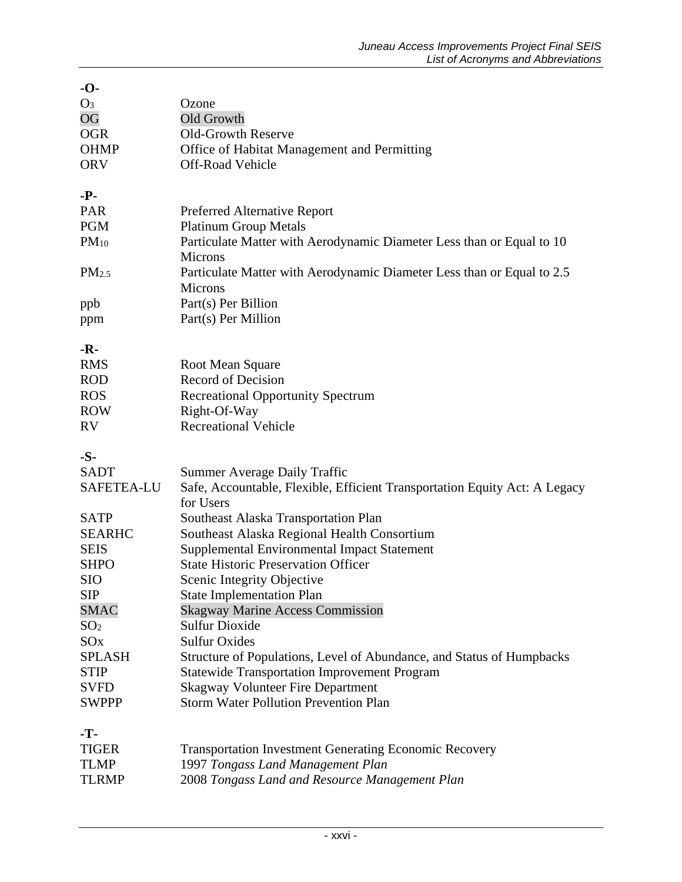| $-O$              |                                                                                          |
|-------------------|------------------------------------------------------------------------------------------|
| $O_3$             | Ozone                                                                                    |
| OG                | Old Growth                                                                               |
| <b>OGR</b>        | <b>Old-Growth Reserve</b>                                                                |
| <b>OHMP</b>       | Office of Habitat Management and Permitting                                              |
| <b>ORV</b>        | <b>Off-Road Vehicle</b>                                                                  |
|                   |                                                                                          |
| -P-               |                                                                                          |
| <b>PAR</b>        | Preferred Alternative Report                                                             |
| <b>PGM</b>        | <b>Platinum Group Metals</b>                                                             |
| $PM_{10}$         | Particulate Matter with Aerodynamic Diameter Less than or Equal to 10<br><b>Microns</b>  |
| PM <sub>2.5</sub> | Particulate Matter with Aerodynamic Diameter Less than or Equal to 2.5<br><b>Microns</b> |
| ppb               | Part(s) Per Billion                                                                      |
| ppm               | Part(s) Per Million                                                                      |
|                   |                                                                                          |
| $-R -$            |                                                                                          |
| <b>RMS</b>        | Root Mean Square                                                                         |
| <b>ROD</b>        | Record of Decision                                                                       |
| <b>ROS</b>        | <b>Recreational Opportunity Spectrum</b>                                                 |
| <b>ROW</b>        | Right-Of-Way                                                                             |
| <b>RV</b>         | <b>Recreational Vehicle</b>                                                              |
|                   |                                                                                          |
|                   |                                                                                          |
|                   |                                                                                          |
| $-S-$             |                                                                                          |
| <b>SADT</b>       | <b>Summer Average Daily Traffic</b>                                                      |
| <b>SAFETEA-LU</b> | Safe, Accountable, Flexible, Efficient Transportation Equity Act: A Legacy               |
|                   | for Users                                                                                |
| <b>SATP</b>       | Southeast Alaska Transportation Plan                                                     |
| <b>SEARHC</b>     | Southeast Alaska Regional Health Consortium                                              |
| <b>SEIS</b>       | Supplemental Environmental Impact Statement                                              |
| <b>SHPO</b>       | <b>State Historic Preservation Officer</b>                                               |
| <b>SIO</b>        | Scenic Integrity Objective                                                               |
| <b>SIP</b>        | <b>State Implementation Plan</b>                                                         |
| <b>SMAC</b>       | <b>Skagway Marine Access Commission</b>                                                  |
| SO <sub>2</sub>   | <b>Sulfur Dioxide</b>                                                                    |
| SOX               | <b>Sulfur Oxides</b>                                                                     |
| <b>SPLASH</b>     | Structure of Populations, Level of Abundance, and Status of Humpbacks                    |
| <b>STIP</b>       | <b>Statewide Transportation Improvement Program</b>                                      |
| <b>SVFD</b>       | <b>Skagway Volunteer Fire Department</b>                                                 |
| <b>SWPPP</b>      | <b>Storm Water Pollution Prevention Plan</b>                                             |
| -Т-               |                                                                                          |
| <b>TIGER</b>      |                                                                                          |
| <b>TLMP</b>       | <b>Transportation Investment Generating Economic Recovery</b>                            |
| <b>TLRMP</b>      | 1997 Tongass Land Management Plan<br>2008 Tongass Land and Resource Management Plan      |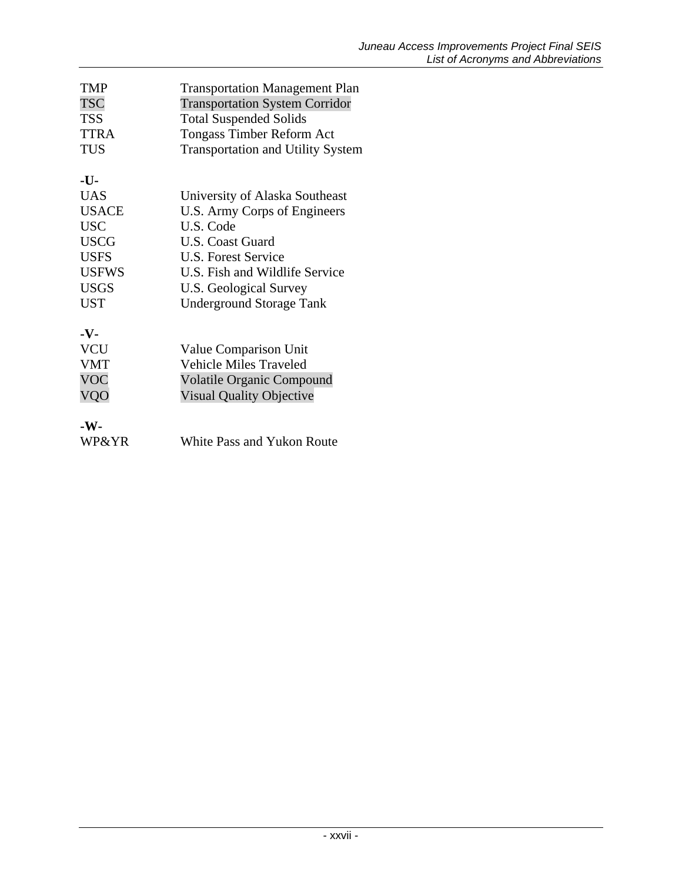| <b>TMP</b>   | <b>Transportation Management Plan</b>    |
|--------------|------------------------------------------|
| <b>TSC</b>   | <b>Transportation System Corridor</b>    |
| <b>TSS</b>   | <b>Total Suspended Solids</b>            |
| <b>TTRA</b>  | <b>Tongass Timber Reform Act</b>         |
| <b>TUS</b>   | <b>Transportation and Utility System</b> |
| -U-          |                                          |
| <b>UAS</b>   | University of Alaska Southeast           |
| <b>USACE</b> | U.S. Army Corps of Engineers             |
| <b>USC</b>   | U.S. Code                                |
| <b>USCG</b>  | <b>U.S. Coast Guard</b>                  |
| <b>USFS</b>  | <b>U.S. Forest Service</b>               |
| <b>USFWS</b> | U.S. Fish and Wildlife Service           |
| <b>USGS</b>  | U.S. Geological Survey                   |
| <b>UST</b>   | <b>Underground Storage Tank</b>          |
| -V-          |                                          |
| <b>VCU</b>   | Value Comparison Unit                    |
| <b>VMT</b>   | <b>Vehicle Miles Traveled</b>            |
| <b>VOC</b>   | <b>Volatile Organic Compound</b>         |
| VQO          | <b>Visual Quality Objective</b>          |
| $-W-$        |                                          |
| WP&YR        | <b>White Pass and Yukon Route</b>        |